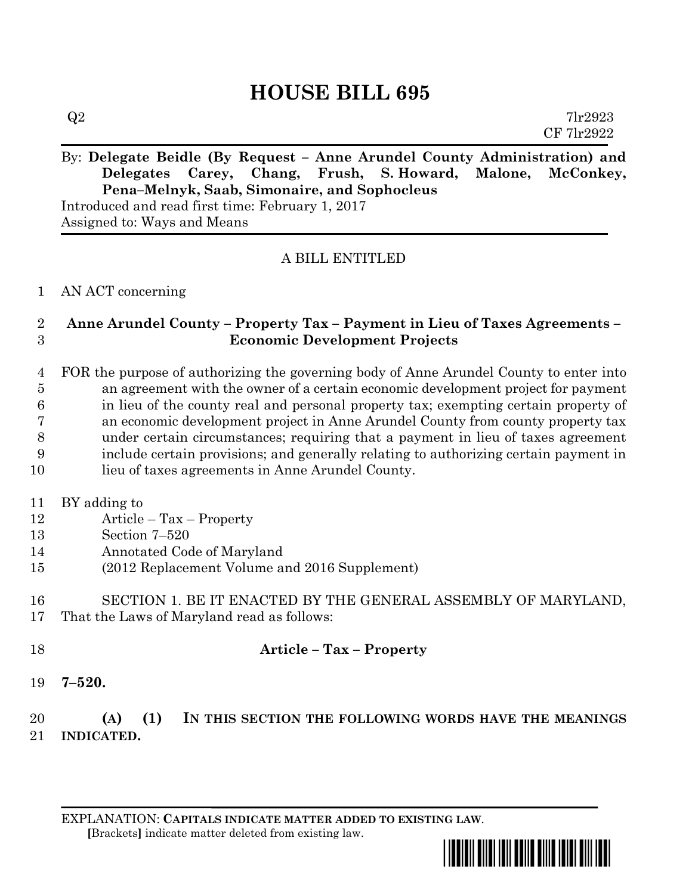# **HOUSE BILL 695**

| Q2 | 7lr2923    |
|----|------------|
|    | CF 7lr2922 |
|    |            |

# By: **Delegate Beidle (By Request – Anne Arundel County Administration) and Delegates Carey, Chang, Frush, S. Howard, Malone, McConkey, Pena–Melnyk, Saab, Simonaire, and Sophocleus**

Introduced and read first time: February 1, 2017 Assigned to: Ways and Means

# A BILL ENTITLED

#### AN ACT concerning

# **Anne Arundel County – Property Tax – Payment in Lieu of Taxes Agreements – Economic Development Projects**

 FOR the purpose of authorizing the governing body of Anne Arundel County to enter into an agreement with the owner of a certain economic development project for payment in lieu of the county real and personal property tax; exempting certain property of an economic development project in Anne Arundel County from county property tax under certain circumstances; requiring that a payment in lieu of taxes agreement include certain provisions; and generally relating to authorizing certain payment in

lieu of taxes agreements in Anne Arundel County.

#### BY adding to

- Article Tax Property
- Section 7–520
- Annotated Code of Maryland
- (2012 Replacement Volume and 2016 Supplement)
- SECTION 1. BE IT ENACTED BY THE GENERAL ASSEMBLY OF MARYLAND, That the Laws of Maryland read as follows:
- **Article – Tax – Property**
- **7–520.**

# **(A) (1) IN THIS SECTION THE FOLLOWING WORDS HAVE THE MEANINGS INDICATED.**

EXPLANATION: **CAPITALS INDICATE MATTER ADDED TO EXISTING LAW**.  **[**Brackets**]** indicate matter deleted from existing law.